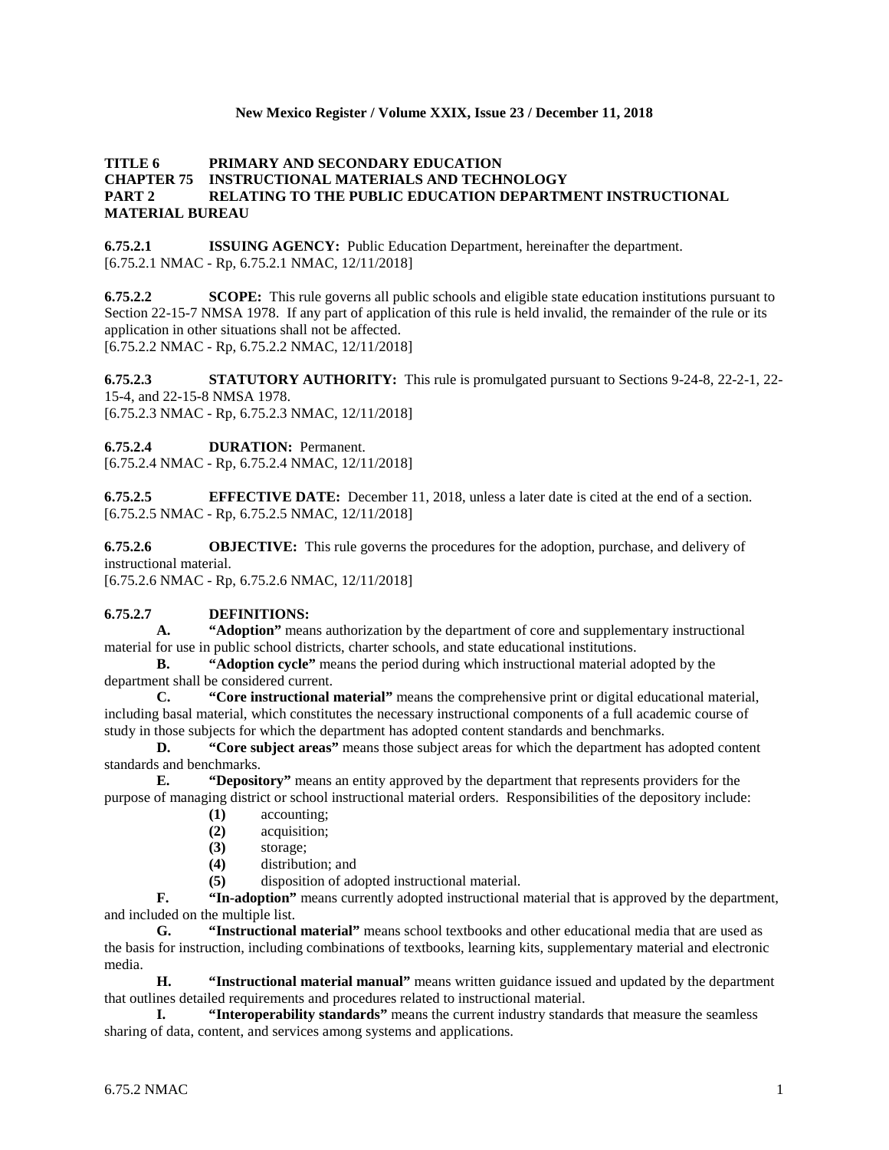#### **New Mexico Register / Volume XXIX, Issue 23 / December 11, 2018**

## **TITLE 6 PRIMARY AND SECONDARY EDUCATION CHAPTER 75 INSTRUCTIONAL MATERIALS AND TECHNOLOGY PART 2 RELATING TO THE PUBLIC EDUCATION DEPARTMENT INSTRUCTIONAL MATERIAL BUREAU**

**6.75.2.1 ISSUING AGENCY:** Public Education Department, hereinafter the department. [6.75.2.1 NMAC - Rp, 6.75.2.1 NMAC, 12/11/2018]

**6.75.2.2 SCOPE:** This rule governs all public schools and eligible state education institutions pursuant to Section 22-15-7 NMSA 1978. If any part of application of this rule is held invalid, the remainder of the rule or its application in other situations shall not be affected. [6.75.2.2 NMAC - Rp, 6.75.2.2 NMAC, 12/11/2018]

**6.75.2.3 STATUTORY AUTHORITY:** This rule is promulgated pursuant to Sections 9-24-8, 22-2-1, 22- 15-4, and 22-15-8 NMSA 1978. [6.75.2.3 NMAC - Rp, 6.75.2.3 NMAC, 12/11/2018]

**6.75.2.4 DURATION:** Permanent.

[6.75.2.4 NMAC - Rp, 6.75.2.4 NMAC, 12/11/2018]

**6.75.2.5 EFFECTIVE DATE:** December 11, 2018, unless a later date is cited at the end of a section. [6.75.2.5 NMAC - Rp, 6.75.2.5 NMAC, 12/11/2018]

**6.75.2.6 OBJECTIVE:** This rule governs the procedures for the adoption, purchase, and delivery of instructional material.

[6.75.2.6 NMAC - Rp, 6.75.2.6 NMAC, 12/11/2018]

#### **6.75.2.7 DEFINITIONS:**

**A. "Adoption"** means authorization by the department of core and supplementary instructional material for use in public school districts, charter schools, and state educational institutions.

**B. "Adoption cycle"** means the period during which instructional material adopted by the department shall be considered current.

**C. "Core instructional material"** means the comprehensive print or digital educational material, including basal material, which constitutes the necessary instructional components of a full academic course of study in those subjects for which the department has adopted content standards and benchmarks.

**D. "Core subject areas"** means those subject areas for which the department has adopted content standards and benchmarks.

**E. "Depository"** means an entity approved by the department that represents providers for the purpose of managing district or school instructional material orders. Responsibilities of the depository include:

- **(1)** accounting;
- **(2)** acquisition;
- **(3)** storage;
- **(4)** distribution; and
- **(5)** disposition of adopted instructional material.

**F. "In-adoption"** means currently adopted instructional material that is approved by the department, and included on the multiple list.

**G. "Instructional material"** means school textbooks and other educational media that are used as the basis for instruction, including combinations of textbooks, learning kits, supplementary material and electronic media.

**H. "Instructional material manual"** means written guidance issued and updated by the department that outlines detailed requirements and procedures related to instructional material.

**I. "Interoperability standards"** means the current industry standards that measure the seamless sharing of data, content, and services among systems and applications.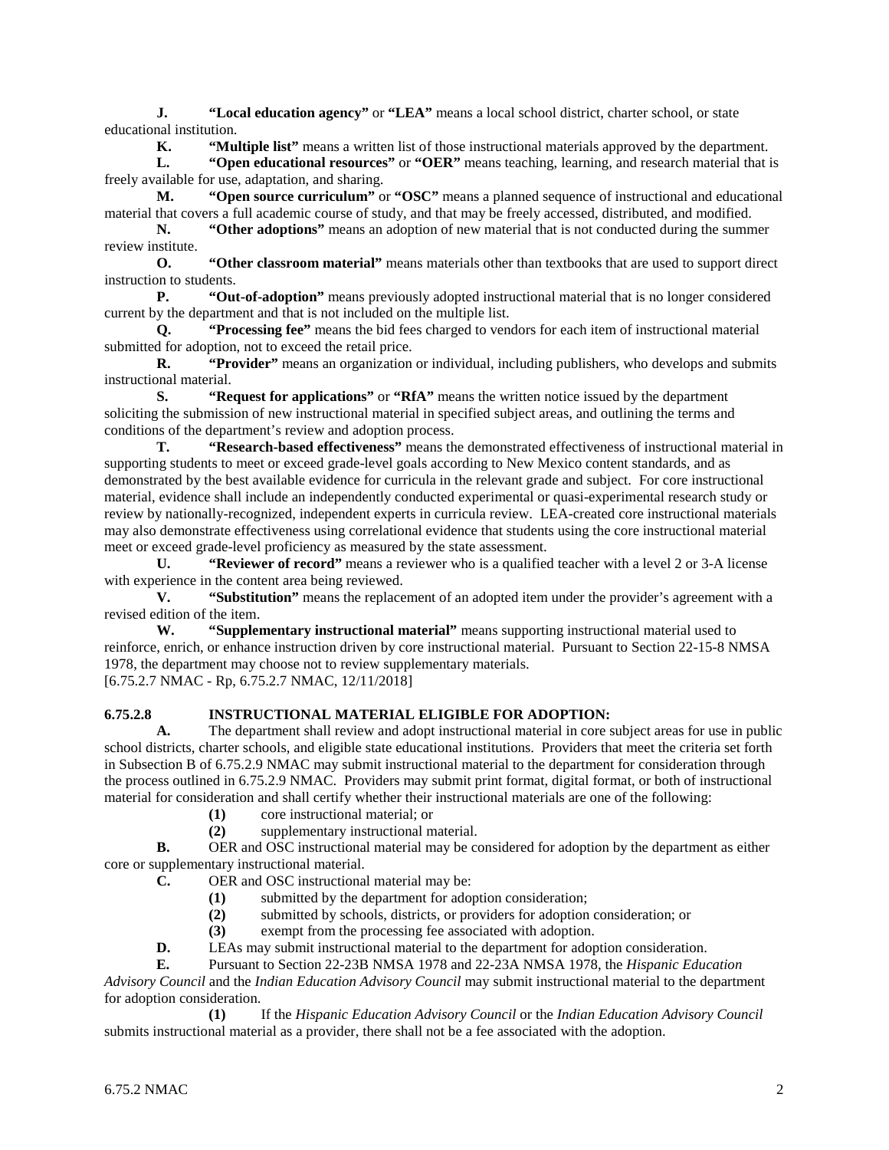**J. "Local education agency"** or **"LEA"** means a local school district, charter school, or state educational institution.

**K. "Multiple list"** means a written list of those instructional materials approved by the department.

**L. "Open educational resources"** or **"OER"** means teaching, learning, and research material that is freely available for use, adaptation, and sharing.

**M. "Open source curriculum"** or **"OSC"** means a planned sequence of instructional and educational material that covers a full academic course of study, and that may be freely accessed, distributed, and modified.

**N. "Other adoptions"** means an adoption of new material that is not conducted during the summer review institute.

**O. "Other classroom material"** means materials other than textbooks that are used to support direct instruction to students.

**P. "Out-of-adoption"** means previously adopted instructional material that is no longer considered current by the department and that is not included on the multiple list.

**Q. "Processing fee"** means the bid fees charged to vendors for each item of instructional material submitted for adoption, not to exceed the retail price.

**R. "Provider"** means an organization or individual, including publishers, who develops and submits instructional material.

**S. "Request for applications"** or **"RfA"** means the written notice issued by the department soliciting the submission of new instructional material in specified subject areas, and outlining the terms and conditions of the department's review and adoption process.

**T. "Research-based effectiveness"** means the demonstrated effectiveness of instructional material in supporting students to meet or exceed grade-level goals according to New Mexico content standards, and as demonstrated by the best available evidence for curricula in the relevant grade and subject. For core instructional material, evidence shall include an independently conducted experimental or quasi-experimental research study or review by nationally-recognized, independent experts in curricula review. LEA-created core instructional materials may also demonstrate effectiveness using correlational evidence that students using the core instructional material meet or exceed grade-level proficiency as measured by the state assessment.

**U. "Reviewer of record"** means a reviewer who is a qualified teacher with a level 2 or 3-A license with experience in the content area being reviewed.

**V. "Substitution"** means the replacement of an adopted item under the provider's agreement with a revised edition of the item.

**W. "Supplementary instructional material"** means supporting instructional material used to reinforce, enrich, or enhance instruction driven by core instructional material. Pursuant to Section 22-15-8 NMSA 1978, the department may choose not to review supplementary materials.

[6.75.2.7 NMAC - Rp, 6.75.2.7 NMAC, 12/11/2018]

#### **6.75.2.8 INSTRUCTIONAL MATERIAL ELIGIBLE FOR ADOPTION:**

**A.** The department shall review and adopt instructional material in core subject areas for use in public school districts, charter schools, and eligible state educational institutions. Providers that meet the criteria set forth in Subsection B of 6.75.2.9 NMAC may submit instructional material to the department for consideration through the process outlined in 6.75.2.9 NMAC. Providers may submit print format, digital format, or both of instructional material for consideration and shall certify whether their instructional materials are one of the following:

- **(1)** core instructional material; or
- **(2)** supplementary instructional material.

**B.** OER and OSC instructional material may be considered for adoption by the department as either core or supplementary instructional material.

- **C.** OER and OSC instructional material may be:
	- (1) submitted by the department for adoption consideration;<br>(2) submitted by schools, districts, or providers for adoption
	- submitted by schools, districts, or providers for adoption consideration; or
	- **(3)** exempt from the processing fee associated with adoption.
- **D.** LEAs may submit instructional material to the department for adoption consideration.
- **E.** Pursuant to Section 22-23B NMSA 1978 and 22-23A NMSA 1978, the *Hispanic Education*

*Advisory Council* and the *Indian Education Advisory Council* may submit instructional material to the department for adoption consideration.

**(1)** If the *Hispanic Education Advisory Council* or the *Indian Education Advisory Council* submits instructional material as a provider, there shall not be a fee associated with the adoption.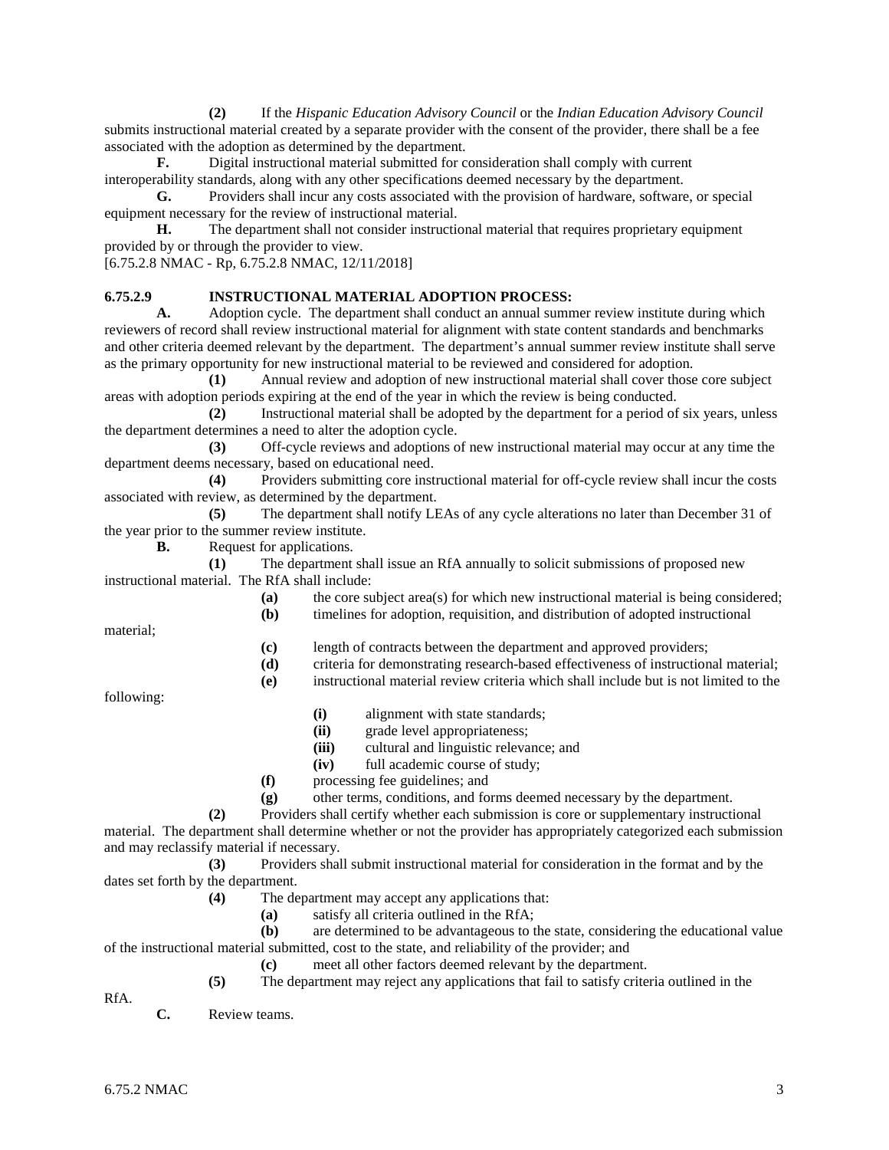**(2)** If the *Hispanic Education Advisory Council* or the *Indian Education Advisory Council* submits instructional material created by a separate provider with the consent of the provider, there shall be a fee associated with the adoption as determined by the department.

**F.** Digital instructional material submitted for consideration shall comply with current interoperability standards, along with any other specifications deemed necessary by the department.

**G.** Providers shall incur any costs associated with the provision of hardware, software, or special equipment necessary for the review of instructional material.

**H.** The department shall not consider instructional material that requires proprietary equipment provided by or through the provider to view.

[6.75.2.8 NMAC - Rp, 6.75.2.8 NMAC, 12/11/2018]

# **6.75.2.9 INSTRUCTIONAL MATERIAL ADOPTION PROCESS:**<br>**A.** Adoption cycle. The department shall conduct an annual sumn

**A.** Adoption cycle. The department shall conduct an annual summer review institute during which reviewers of record shall review instructional material for alignment with state content standards and benchmarks and other criteria deemed relevant by the department. The department's annual summer review institute shall serve as the primary opportunity for new instructional material to be reviewed and considered for adoption.

**(1)** Annual review and adoption of new instructional material shall cover those core subject areas with adoption periods expiring at the end of the year in which the review is being conducted.

**(2)** Instructional material shall be adopted by the department for a period of six years, unless the department determines a need to alter the adoption cycle.

**(3)** Off-cycle reviews and adoptions of new instructional material may occur at any time the department deems necessary, based on educational need.

**(4)** Providers submitting core instructional material for off-cycle review shall incur the costs associated with review, as determined by the department.

**(5)** The department shall notify LEAs of any cycle alterations no later than December 31 of the year prior to the summer review institute.

**B.** Request for applications.

**(1)** The department shall issue an RfA annually to solicit submissions of proposed new instructional material. The RfA shall include:

**(a)** the core subject area(s) for which new instructional material is being considered; **(b)** timelines for adoption, requisition, and distribution of adopted instructional

material;

**(c)** length of contracts between the department and approved providers;

**(d)** criteria for demonstrating research-based effectiveness of instructional material;

**(e)** instructional material review criteria which shall include but is not limited to the

following:

- **(i)** alignment with state standards;
- **(ii)** grade level appropriateness;
- **(iii)** cultural and linguistic relevance; and
- **(iv)** full academic course of study;
- **(f)** processing fee guidelines; and

**(g)** other terms, conditions, and forms deemed necessary by the department.

**(2)** Providers shall certify whether each submission is core or supplementary instructional material. The department shall determine whether or not the provider has appropriately categorized each submission and may reclassify material if necessary.

**(3)** Providers shall submit instructional material for consideration in the format and by the dates set forth by the department.

- **(4)** The department may accept any applications that:
	- **(a)** satisfy all criteria outlined in the RfA;

**(b)** are determined to be advantageous to the state, considering the educational value of the instructional material submitted, cost to the state, and reliability of the provider; and

**(c)** meet all other factors deemed relevant by the department.

RfA.

**(5)** The department may reject any applications that fail to satisfy criteria outlined in the

**C.** Review teams.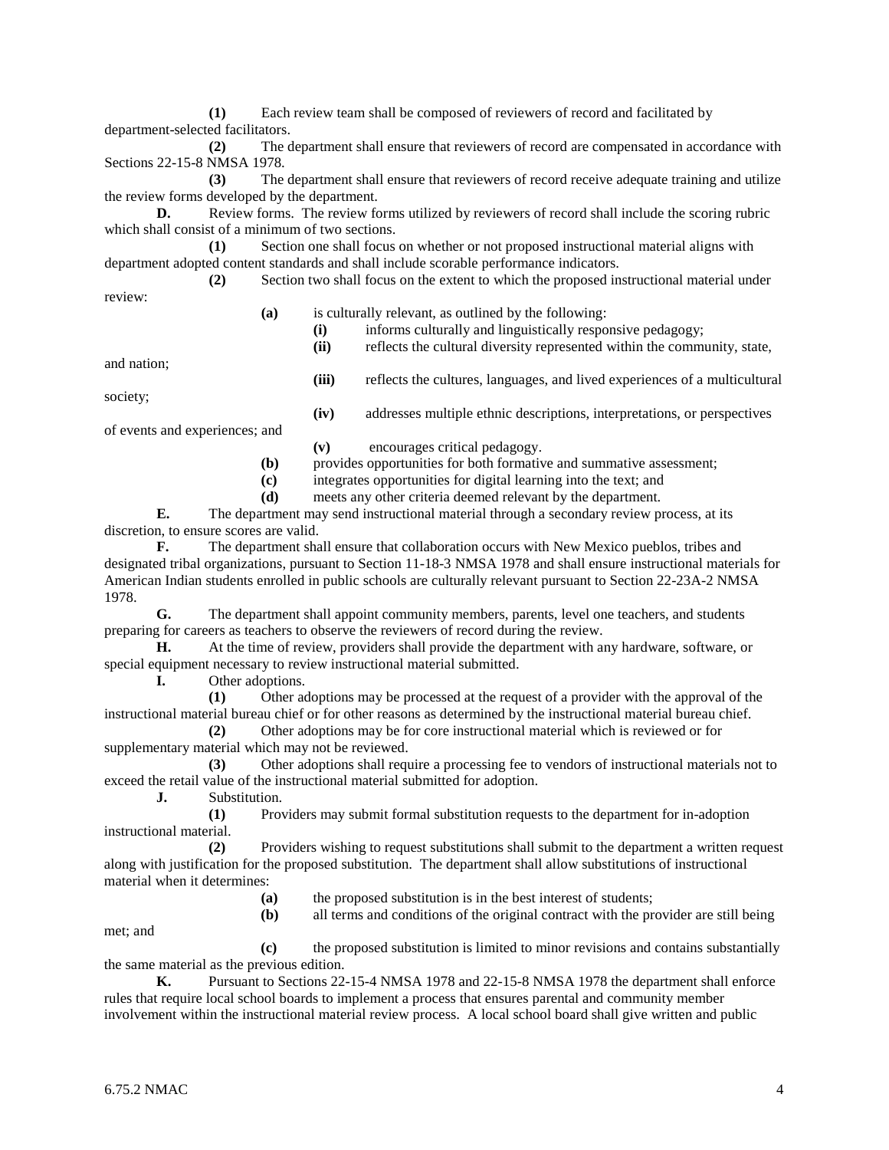**(1)** Each review team shall be composed of reviewers of record and facilitated by department-selected facilitators.

**(2)** The department shall ensure that reviewers of record are compensated in accordance with Sections 22-15-8 NMSA 1978.

**(3)** The department shall ensure that reviewers of record receive adequate training and utilize the review forms developed by the department.

**D.** Review forms. The review forms utilized by reviewers of record shall include the scoring rubric which shall consist of a minimum of two sections.

**(1)** Section one shall focus on whether or not proposed instructional material aligns with department adopted content standards and shall include scorable performance indicators.

**(2)** Section two shall focus on the extent to which the proposed instructional material under review:

- **(a)** is culturally relevant, as outlined by the following:
	- **(i)** informs culturally and linguistically responsive pedagogy;
	- **(ii)** reflects the cultural diversity represented within the community, state,

**(iv)** addresses multiple ethnic descriptions, interpretations, or perspectives

and nation;

**(iii)** reflects the cultures, languages, and lived experiences of a multicultural society;

of events and experiences; and

- **(v)** encourages critical pedagogy.
- **(b)** provides opportunities for both formative and summative assessment;
- **(c)** integrates opportunities for digital learning into the text; and
- **(d)** meets any other criteria deemed relevant by the department.

**E.** The department may send instructional material through a secondary review process, at its discretion, to ensure scores are valid.

**F.** The department shall ensure that collaboration occurs with New Mexico pueblos, tribes and designated tribal organizations, pursuant to Section 11-18-3 NMSA 1978 and shall ensure instructional materials for American Indian students enrolled in public schools are culturally relevant pursuant to Section 22-23A-2 NMSA 1978.

**G.** The department shall appoint community members, parents, level one teachers, and students preparing for careers as teachers to observe the reviewers of record during the review.

**H.** At the time of review, providers shall provide the department with any hardware, software, or special equipment necessary to review instructional material submitted.<br> **I.** Other adoptions.

**I.** Other adoptions.

**(1)** Other adoptions may be processed at the request of a provider with the approval of the instructional material bureau chief or for other reasons as determined by the instructional material bureau chief.

**(2)** Other adoptions may be for core instructional material which is reviewed or for supplementary material which may not be reviewed.

**(3)** Other adoptions shall require a processing fee to vendors of instructional materials not to exceed the retail value of the instructional material submitted for adoption.

**J.** Substitution.

**(1)** Providers may submit formal substitution requests to the department for in-adoption instructional material.

**(2)** Providers wishing to request substitutions shall submit to the department a written request along with justification for the proposed substitution. The department shall allow substitutions of instructional material when it determines:

**(a)** the proposed substitution is in the best interest of students;

**(b)** all terms and conditions of the original contract with the provider are still being

met; and

**(c)** the proposed substitution is limited to minor revisions and contains substantially the same material as the previous edition.

**K.** Pursuant to Sections 22-15-4 NMSA 1978 and 22-15-8 NMSA 1978 the department shall enforce rules that require local school boards to implement a process that ensures parental and community member involvement within the instructional material review process. A local school board shall give written and public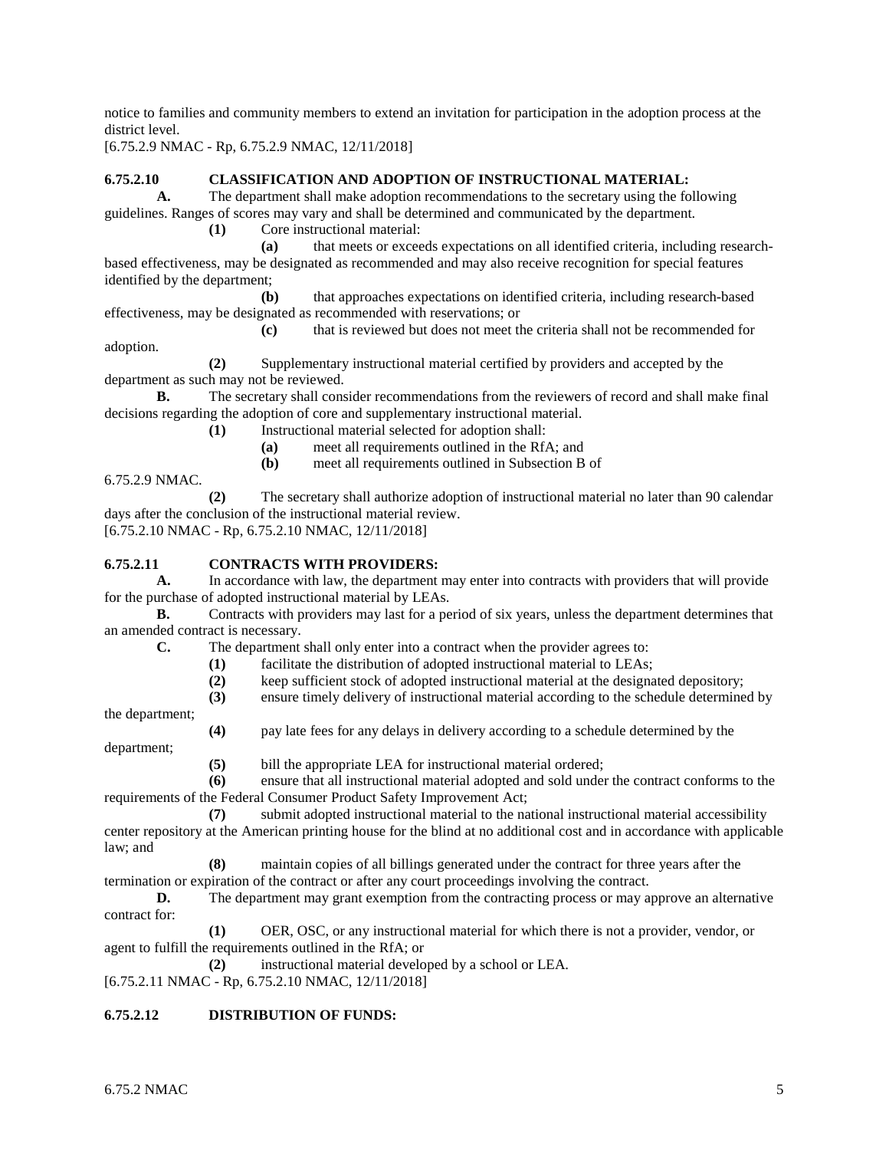notice to families and community members to extend an invitation for participation in the adoption process at the district level.

[6.75.2.9 NMAC - Rp, 6.75.2.9 NMAC, 12/11/2018]

#### **6.75.2.10 CLASSIFICATION AND ADOPTION OF INSTRUCTIONAL MATERIAL:**

**A.** The department shall make adoption recommendations to the secretary using the following guidelines. Ranges of scores may vary and shall be determined and communicated by the department.

**(1)** Core instructional material:

**(a)** that meets or exceeds expectations on all identified criteria, including researchbased effectiveness, may be designated as recommended and may also receive recognition for special features identified by the department;

**(b)** that approaches expectations on identified criteria, including research-based effectiveness, may be designated as recommended with reservations; or

**(c)** that is reviewed but does not meet the criteria shall not be recommended for adoption.

**(2)** Supplementary instructional material certified by providers and accepted by the department as such may not be reviewed.

**B.** The secretary shall consider recommendations from the reviewers of record and shall make final decisions regarding the adoption of core and supplementary instructional material.

**(1)** Instructional material selected for adoption shall:

- **(a)** meet all requirements outlined in the RfA; and
- **(b)** meet all requirements outlined in Subsection B of

6.75.2.9 NMAC.

**(2)** The secretary shall authorize adoption of instructional material no later than 90 calendar days after the conclusion of the instructional material review. [6.75.2.10 NMAC - Rp, 6.75.2.10 NMAC, 12/11/2018]

#### **6.75.2.11 CONTRACTS WITH PROVIDERS:**

**A.** In accordance with law, the department may enter into contracts with providers that will provide for the purchase of adopted instructional material by LEAs.

**B.** Contracts with providers may last for a period of six years, unless the department determines that an amended contract is necessary.

**C.** The department shall only enter into a contract when the provider agrees to:

- (1) facilitate the distribution of adopted instructional material to LEAs;<br>(2) keep sufficient stock of adopted instructional material at the designal
- **(2)** keep sufficient stock of adopted instructional material at the designated depository;
- **(3)** ensure timely delivery of instructional material according to the schedule determined by

the department;

**(4)** pay late fees for any delays in delivery according to a schedule determined by the department;

**(5)** bill the appropriate LEA for instructional material ordered;

**(6)** ensure that all instructional material adopted and sold under the contract conforms to the requirements of the Federal Consumer Product Safety Improvement Act;

**(7)** submit adopted instructional material to the national instructional material accessibility center repository at the American printing house for the blind at no additional cost and in accordance with applicable law; and

**(8)** maintain copies of all billings generated under the contract for three years after the

termination or expiration of the contract or after any court proceedings involving the contract.

**D.** The department may grant exemption from the contracting process or may approve an alternative contract for:

**(1)** OER, OSC, or any instructional material for which there is not a provider, vendor, or agent to fulfill the requirements outlined in the RfA; or

**(2)** instructional material developed by a school or LEA.

[6.75.2.11 NMAC - Rp, 6.75.2.10 NMAC, 12/11/2018]

#### **6.75.2.12 DISTRIBUTION OF FUNDS:**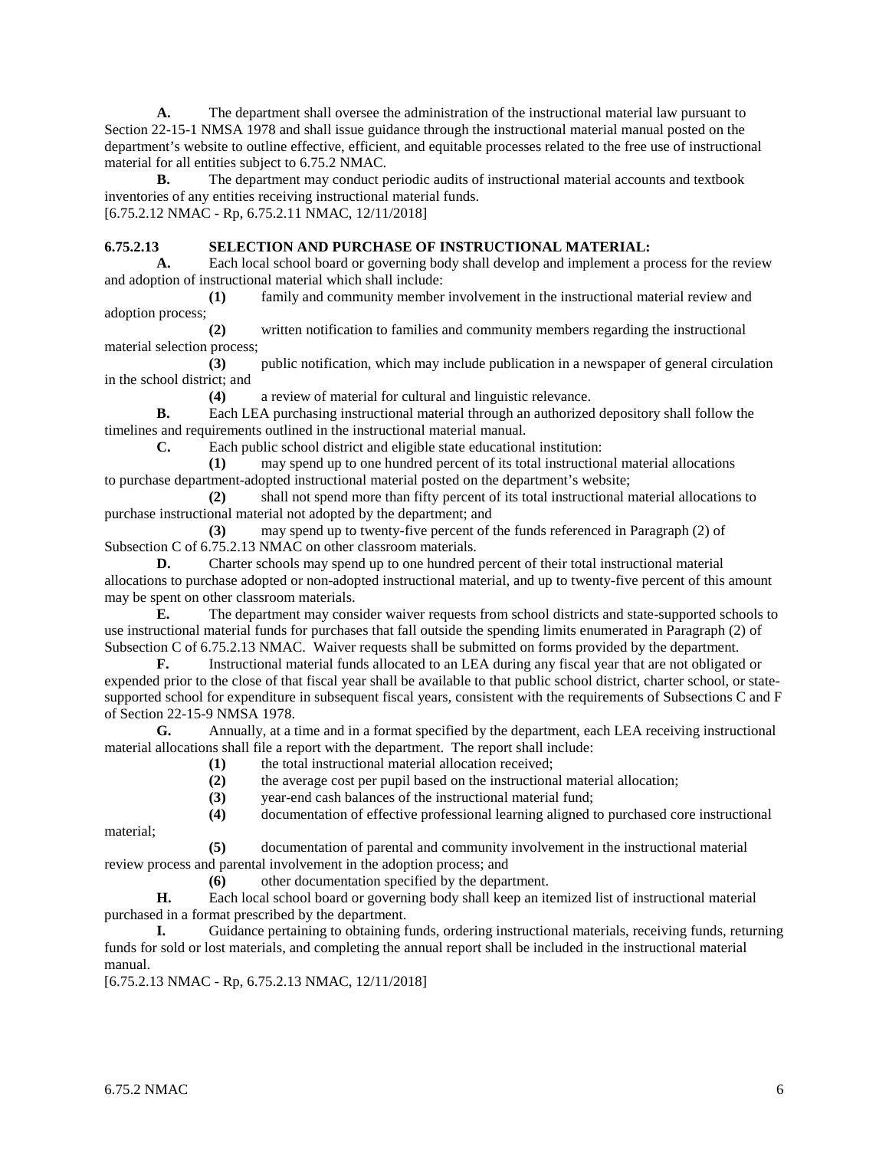**A.** The department shall oversee the administration of the instructional material law pursuant to Section 22-15-1 NMSA 1978 and shall issue guidance through the instructional material manual posted on the department's website to outline effective, efficient, and equitable processes related to the free use of instructional material for all entities subject to 6.75.2 NMAC.

**B.** The department may conduct periodic audits of instructional material accounts and textbook inventories of any entities receiving instructional material funds.

[6.75.2.12 NMAC - Rp, 6.75.2.11 NMAC, 12/11/2018]

#### **6.75.2.13 SELECTION AND PURCHASE OF INSTRUCTIONAL MATERIAL:**

**A.** Each local school board or governing body shall develop and implement a process for the review and adoption of instructional material which shall include:

**(1)** family and community member involvement in the instructional material review and adoption process;

**(2)** written notification to families and community members regarding the instructional material selection process;

**(3)** public notification, which may include publication in a newspaper of general circulation in the school district; and

**(4)** a review of material for cultural and linguistic relevance.

**B.** Each LEA purchasing instructional material through an authorized depository shall follow the timelines and requirements outlined in the instructional material manual.

**C.** Each public school district and eligible state educational institution:

**(1)** may spend up to one hundred percent of its total instructional material allocations to purchase department-adopted instructional material posted on the department's website;

**(2)** shall not spend more than fifty percent of its total instructional material allocations to purchase instructional material not adopted by the department; and

**(3)** may spend up to twenty-five percent of the funds referenced in Paragraph (2) of Subsection C of 6.75.2.13 NMAC on other classroom materials.

**D.** Charter schools may spend up to one hundred percent of their total instructional material allocations to purchase adopted or non-adopted instructional material, and up to twenty-five percent of this amount may be spent on other classroom materials.

**E.** The department may consider waiver requests from school districts and state-supported schools to use instructional material funds for purchases that fall outside the spending limits enumerated in Paragraph (2) of Subsection C of 6.75.2.13 NMAC. Waiver requests shall be submitted on forms provided by the department.

**F.** Instructional material funds allocated to an LEA during any fiscal year that are not obligated or expended prior to the close of that fiscal year shall be available to that public school district, charter school, or statesupported school for expenditure in subsequent fiscal years, consistent with the requirements of Subsections C and F of Section 22-15-9 NMSA 1978.

**G.** Annually, at a time and in a format specified by the department, each LEA receiving instructional material allocations shall file a report with the department. The report shall include:

- **(1)** the total instructional material allocation received;
- **(2)** the average cost per pupil based on the instructional material allocation;
- **(3)** year-end cash balances of the instructional material fund;

**(4)** documentation of effective professional learning aligned to purchased core instructional

material;

**(5)** documentation of parental and community involvement in the instructional material review process and parental involvement in the adoption process; and

**(6)** other documentation specified by the department.

**H.** Each local school board or governing body shall keep an itemized list of instructional material purchased in a format prescribed by the department.

**I.** Guidance pertaining to obtaining funds, ordering instructional materials, receiving funds, returning funds for sold or lost materials, and completing the annual report shall be included in the instructional material manual.

[6.75.2.13 NMAC - Rp, 6.75.2.13 NMAC, 12/11/2018]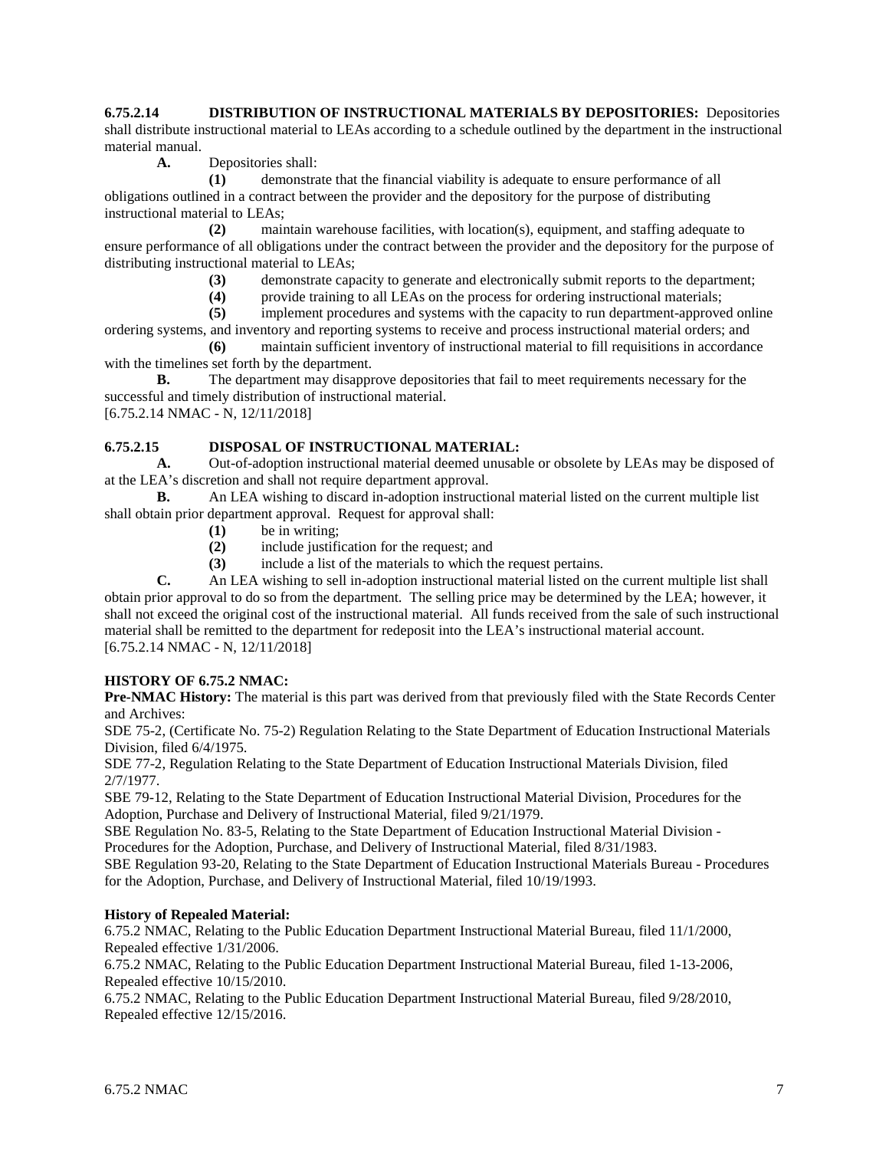**6.75.2.14 DISTRIBUTION OF INSTRUCTIONAL MATERIALS BY DEPOSITORIES:** Depositories shall distribute instructional material to LEAs according to a schedule outlined by the department in the instructional material manual.

**A.** Depositories shall:

**(1)** demonstrate that the financial viability is adequate to ensure performance of all obligations outlined in a contract between the provider and the depository for the purpose of distributing instructional material to LEAs;

**(2)** maintain warehouse facilities, with location(s), equipment, and staffing adequate to ensure performance of all obligations under the contract between the provider and the depository for the purpose of distributing instructional material to LEAs;

- **(3)** demonstrate capacity to generate and electronically submit reports to the department;
- **(4)** provide training to all LEAs on the process for ordering instructional materials;

**(5)** implement procedures and systems with the capacity to run department-approved online ordering systems, and inventory and reporting systems to receive and process instructional material orders; and

**(6)** maintain sufficient inventory of instructional material to fill requisitions in accordance with the timelines set forth by the department.

**B.** The department may disapprove depositories that fail to meet requirements necessary for the successful and timely distribution of instructional material.

[6.75.2.14 NMAC - N, 12/11/2018]

# **6.75.2.15 DISPOSAL OF INSTRUCTIONAL MATERIAL:**

**A.** Out-of-adoption instructional material deemed unusable or obsolete by LEAs may be disposed of at the LEA's discretion and shall not require department approval.

**B.** An LEA wishing to discard in-adoption instructional material listed on the current multiple list shall obtain prior department approval. Request for approval shall:

- **(1)** be in writing;
- **(2)** include justification for the request; and
- **(3)** include a list of the materials to which the request pertains.

**C.** An LEA wishing to sell in-adoption instructional material listed on the current multiple list shall obtain prior approval to do so from the department. The selling price may be determined by the LEA; however, it shall not exceed the original cost of the instructional material. All funds received from the sale of such instructional material shall be remitted to the department for redeposit into the LEA's instructional material account. [6.75.2.14 NMAC - N, 12/11/2018]

# **HISTORY OF 6.75.2 NMAC:**

**Pre-NMAC History:** The material is this part was derived from that previously filed with the State Records Center and Archives:

SDE 75-2, (Certificate No. 75-2) Regulation Relating to the State Department of Education Instructional Materials Division, filed 6/4/1975.

SDE 77-2, Regulation Relating to the State Department of Education Instructional Materials Division, filed 2/7/1977.

SBE 79-12, Relating to the State Department of Education Instructional Material Division, Procedures for the Adoption, Purchase and Delivery of Instructional Material, filed 9/21/1979.

SBE Regulation No. 83-5, Relating to the State Department of Education Instructional Material Division - Procedures for the Adoption, Purchase, and Delivery of Instructional Material, filed 8/31/1983.

SBE Regulation 93-20, Relating to the State Department of Education Instructional Materials Bureau - Procedures for the Adoption, Purchase, and Delivery of Instructional Material, filed 10/19/1993.

#### **History of Repealed Material:**

6.75.2 NMAC, Relating to the Public Education Department Instructional Material Bureau, filed 11/1/2000, Repealed effective 1/31/2006.

6.75.2 NMAC, Relating to the Public Education Department Instructional Material Bureau, filed 1-13-2006, Repealed effective 10/15/2010.

6.75.2 NMAC, Relating to the Public Education Department Instructional Material Bureau, filed 9/28/2010, Repealed effective 12/15/2016.